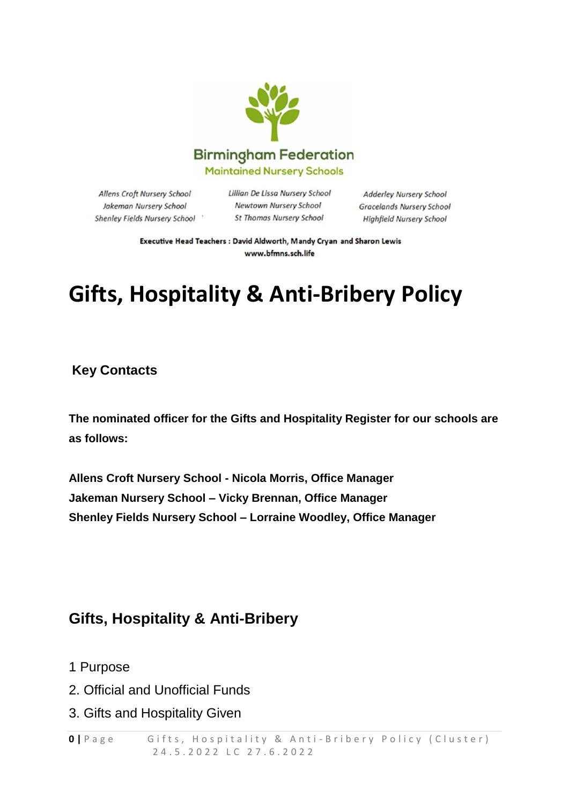

Allens Croft Nursery School Jakeman Nursery School Shenley Fields Nursery School Lillian De Lissa Nursery School Newtown Nursery School **St Thomas Nursery School** 

**Adderley Nursery School Gracelands Nursery School Highfield Nursery School** 

Executive Head Teachers : David Aldworth, Mandy Cryan and Sharon Lewis www.bfmns.sch.life

# **Gifts, Hospitality & Anti-Bribery Policy**

**Key Contacts**

**The nominated officer for the Gifts and Hospitality Register for our schools are as follows:**

**Allens Croft Nursery School - Nicola Morris, Office Manager Jakeman Nursery School – Vicky Brennan, Office Manager Shenley Fields Nursery School – Lorraine Woodley, Office Manager**

## **Gifts, Hospitality & Anti-Bribery**

- 1 Purpose
- 2. Official and Unofficial Funds
- 3. Gifts and Hospitality Given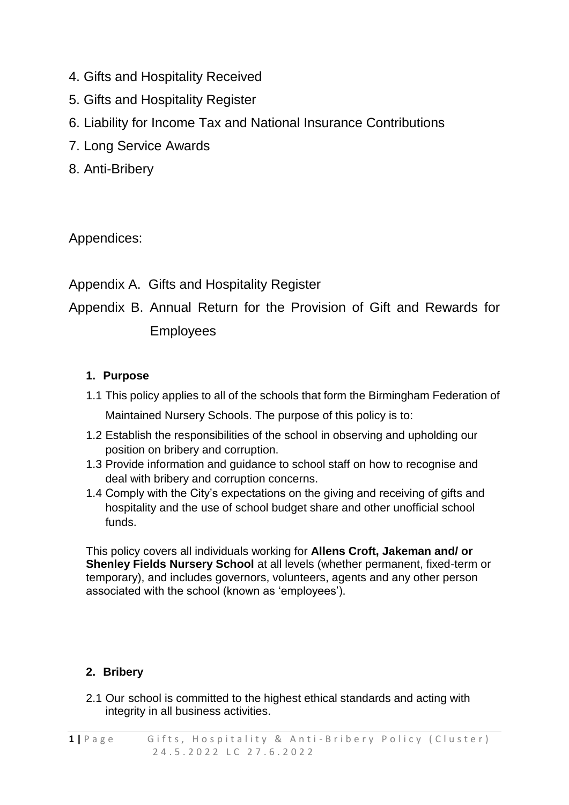- 4. Gifts and Hospitality Received
- 5. Gifts and Hospitality Register
- 6. Liability for Income Tax and National Insurance Contributions
- 7. Long Service Awards
- 8. Anti-Bribery

Appendices:

Appendix A. Gifts and Hospitality Register

Appendix B. Annual Return for the Provision of Gift and Rewards for Employees

#### **1. Purpose**

- 1.1 This policy applies to all of the schools that form the Birmingham Federation of Maintained Nursery Schools. The purpose of this policy is to:
- 1.2 Establish the responsibilities of the school in observing and upholding our position on bribery and corruption.
- 1.3 Provide information and guidance to school staff on how to recognise and deal with bribery and corruption concerns.
- 1.4 Comply with the City's expectations on the giving and receiving of gifts and hospitality and the use of school budget share and other unofficial school funds.

This policy covers all individuals working for **Allens Croft, Jakeman and/ or Shenley Fields Nursery School** at all levels (whether permanent, fixed-term or temporary), and includes governors, volunteers, agents and any other person associated with the school (known as 'employees').

#### **2. Bribery**

2.1 Our school is committed to the highest ethical standards and acting with integrity in all business activities.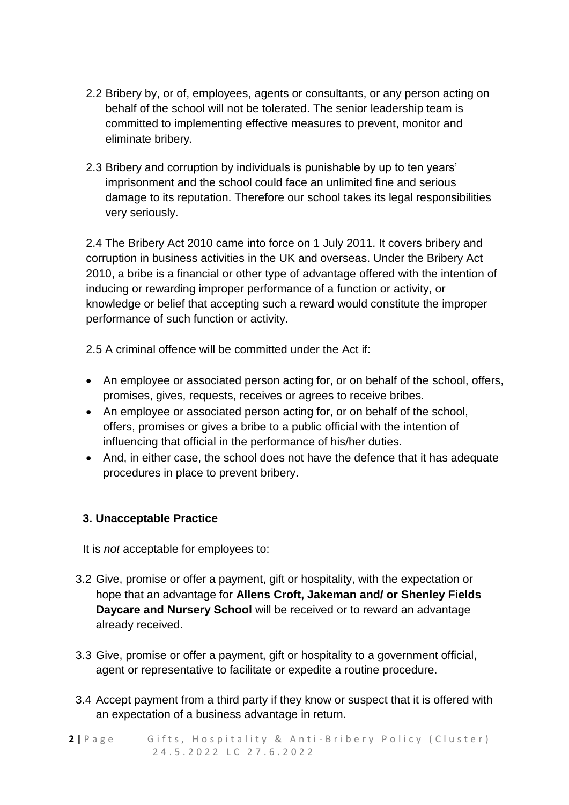- 2.2 Bribery by, or of, employees, agents or consultants, or any person acting on behalf of the school will not be tolerated. The senior leadership team is committed to implementing effective measures to prevent, monitor and eliminate bribery.
- 2.3 Bribery and corruption by individuals is punishable by up to ten years' imprisonment and the school could face an unlimited fine and serious damage to its reputation. Therefore our school takes its legal responsibilities very seriously.

2.4 The Bribery Act 2010 came into force on 1 July 2011. It covers bribery and corruption in business activities in the UK and overseas. Under the Bribery Act 2010, a bribe is a financial or other type of advantage offered with the intention of inducing or rewarding improper performance of a function or activity, or knowledge or belief that accepting such a reward would constitute the improper performance of such function or activity.

2.5 A criminal offence will be committed under the Act if:

- An employee or associated person acting for, or on behalf of the school, offers, promises, gives, requests, receives or agrees to receive bribes.
- An employee or associated person acting for, or on behalf of the school, offers, promises or gives a bribe to a public official with the intention of influencing that official in the performance of his/her duties.
- And, in either case, the school does not have the defence that it has adequate procedures in place to prevent bribery.

#### **3. Unacceptable Practice**

It is *not* acceptable for employees to:

- 3.2 Give, promise or offer a payment, gift or hospitality, with the expectation or hope that an advantage for **Allens Croft, Jakeman and/ or Shenley Fields Daycare and Nursery School** will be received or to reward an advantage already received.
- 3.3 Give, promise or offer a payment, gift or hospitality to a government official, agent or representative to facilitate or expedite a routine procedure.
- 3.4 Accept payment from a third party if they know or suspect that it is offered with an expectation of a business advantage in return.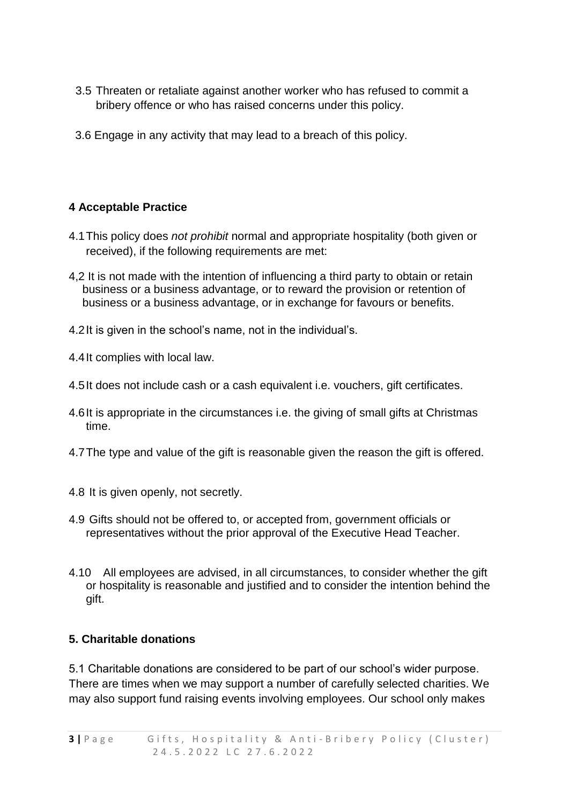- 3.5 Threaten or retaliate against another worker who has refused to commit a bribery offence or who has raised concerns under this policy.
- 3.6 Engage in any activity that may lead to a breach of this policy.

#### **4 Acceptable Practice**

- 4.1This policy does *not prohibit* normal and appropriate hospitality (both given or received), if the following requirements are met:
- 4,2 It is not made with the intention of influencing a third party to obtain or retain business or a business advantage, or to reward the provision or retention of business or a business advantage, or in exchange for favours or benefits.
- 4.2It is given in the school's name, not in the individual's.
- 4.4It complies with local law.
- 4.5It does not include cash or a cash equivalent i.e. vouchers, gift certificates.
- 4.6It is appropriate in the circumstances i.e. the giving of small gifts at Christmas time.
- 4.7The type and value of the gift is reasonable given the reason the gift is offered.
- 4.8 It is given openly, not secretly.
- 4.9 Gifts should not be offered to, or accepted from, government officials or representatives without the prior approval of the Executive Head Teacher.
- 4.10 All employees are advised, in all circumstances, to consider whether the gift or hospitality is reasonable and justified and to consider the intention behind the gift.

#### **5. Charitable donations**

5.1 Charitable donations are considered to be part of our school's wider purpose. There are times when we may support a number of carefully selected charities. We may also support fund raising events involving employees. Our school only makes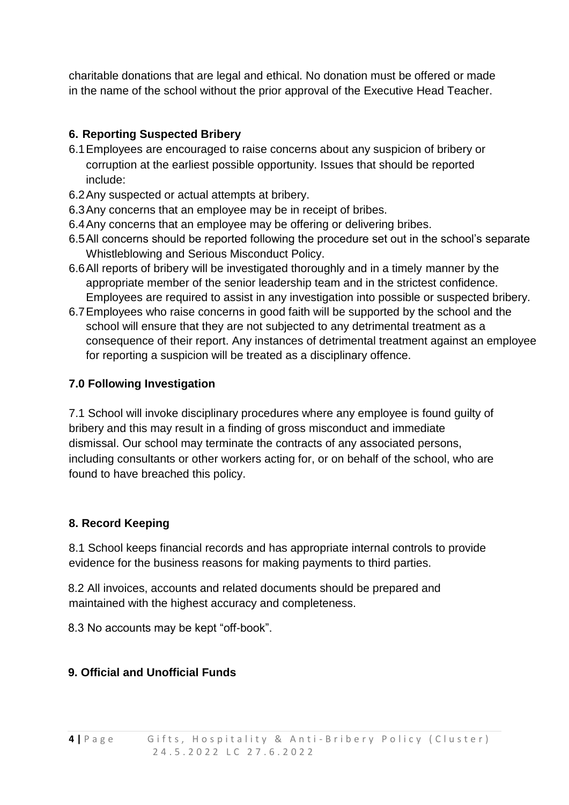charitable donations that are legal and ethical. No donation must be offered or made in the name of the school without the prior approval of the Executive Head Teacher.

#### **6. Reporting Suspected Bribery**

- 6.1Employees are encouraged to raise concerns about any suspicion of bribery or corruption at the earliest possible opportunity. Issues that should be reported include:
- 6.2Any suspected or actual attempts at bribery.
- 6.3Any concerns that an employee may be in receipt of bribes.
- 6.4Any concerns that an employee may be offering or delivering bribes.
- 6.5All concerns should be reported following the procedure set out in the school's separate Whistleblowing and Serious Misconduct Policy.
- 6.6All reports of bribery will be investigated thoroughly and in a timely manner by the appropriate member of the senior leadership team and in the strictest confidence. Employees are required to assist in any investigation into possible or suspected bribery.
- 6.7Employees who raise concerns in good faith will be supported by the school and the school will ensure that they are not subjected to any detrimental treatment as a consequence of their report. Any instances of detrimental treatment against an employee for reporting a suspicion will be treated as a disciplinary offence.

#### **7.0 Following Investigation**

7.1 School will invoke disciplinary procedures where any employee is found guilty of bribery and this may result in a finding of gross misconduct and immediate dismissal. Our school may terminate the contracts of any associated persons, including consultants or other workers acting for, or on behalf of the school, who are found to have breached this policy.

#### **8. Record Keeping**

8.1 School keeps financial records and has appropriate internal controls to provide evidence for the business reasons for making payments to third parties.

8.2 All invoices, accounts and related documents should be prepared and maintained with the highest accuracy and completeness.

8.3 No accounts may be kept "off-book".

#### **9. Official and Unofficial Funds**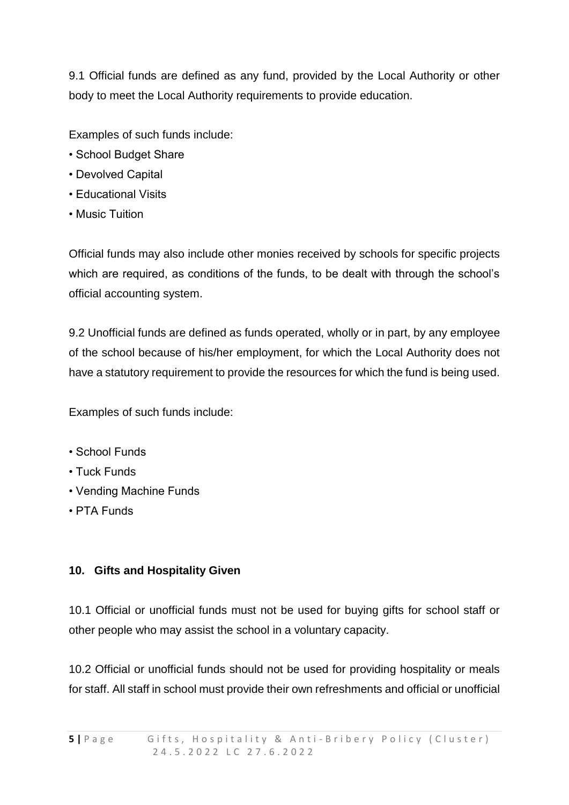9.1 Official funds are defined as any fund, provided by the Local Authority or other body to meet the Local Authority requirements to provide education.

Examples of such funds include:

- School Budget Share
- Devolved Capital
- Educational Visits
- Music Tuition

Official funds may also include other monies received by schools for specific projects which are required, as conditions of the funds, to be dealt with through the school's official accounting system.

9.2 Unofficial funds are defined as funds operated, wholly or in part, by any employee of the school because of his/her employment, for which the Local Authority does not have a statutory requirement to provide the resources for which the fund is being used.

Examples of such funds include:

- School Funds
- Tuck Funds
- Vending Machine Funds
- PTA Funds

#### **10. Gifts and Hospitality Given**

10.1 Official or unofficial funds must not be used for buying gifts for school staff or other people who may assist the school in a voluntary capacity.

10.2 Official or unofficial funds should not be used for providing hospitality or meals for staff. All staff in school must provide their own refreshments and official or unofficial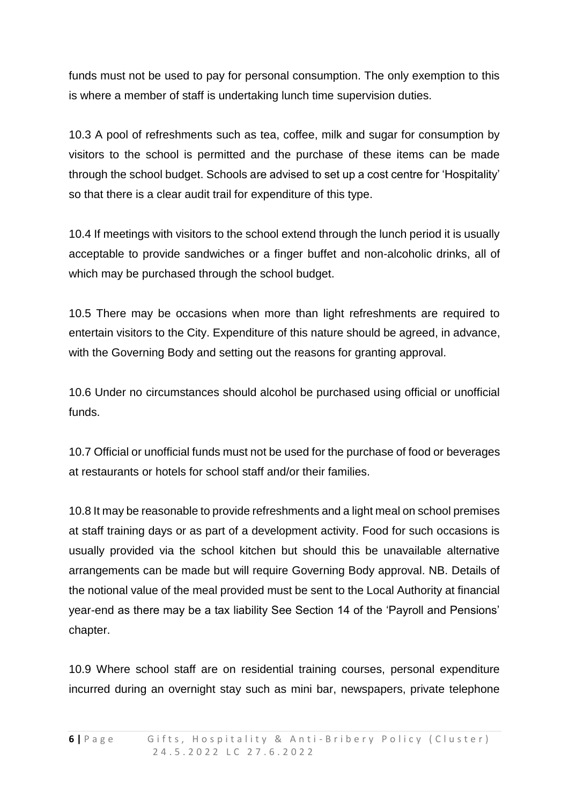funds must not be used to pay for personal consumption. The only exemption to this is where a member of staff is undertaking lunch time supervision duties.

10.3 A pool of refreshments such as tea, coffee, milk and sugar for consumption by visitors to the school is permitted and the purchase of these items can be made through the school budget. Schools are advised to set up a cost centre for 'Hospitality' so that there is a clear audit trail for expenditure of this type.

10.4 If meetings with visitors to the school extend through the lunch period it is usually acceptable to provide sandwiches or a finger buffet and non-alcoholic drinks, all of which may be purchased through the school budget.

10.5 There may be occasions when more than light refreshments are required to entertain visitors to the City. Expenditure of this nature should be agreed, in advance, with the Governing Body and setting out the reasons for granting approval.

10.6 Under no circumstances should alcohol be purchased using official or unofficial funds.

10.7 Official or unofficial funds must not be used for the purchase of food or beverages at restaurants or hotels for school staff and/or their families.

10.8 It may be reasonable to provide refreshments and a light meal on school premises at staff training days or as part of a development activity. Food for such occasions is usually provided via the school kitchen but should this be unavailable alternative arrangements can be made but will require Governing Body approval. NB. Details of the notional value of the meal provided must be sent to the Local Authority at financial year-end as there may be a tax liability See Section 14 of the 'Payroll and Pensions' chapter.

10.9 Where school staff are on residential training courses, personal expenditure incurred during an overnight stay such as mini bar, newspapers, private telephone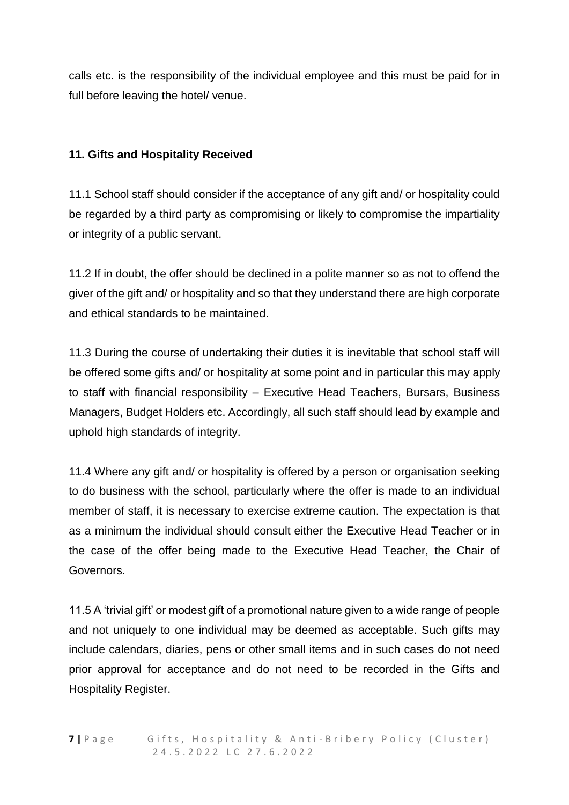calls etc. is the responsibility of the individual employee and this must be paid for in full before leaving the hotel/ venue.

#### **11. Gifts and Hospitality Received**

11.1 School staff should consider if the acceptance of any gift and/ or hospitality could be regarded by a third party as compromising or likely to compromise the impartiality or integrity of a public servant.

11.2 If in doubt, the offer should be declined in a polite manner so as not to offend the giver of the gift and/ or hospitality and so that they understand there are high corporate and ethical standards to be maintained.

11.3 During the course of undertaking their duties it is inevitable that school staff will be offered some gifts and/ or hospitality at some point and in particular this may apply to staff with financial responsibility – Executive Head Teachers, Bursars, Business Managers, Budget Holders etc. Accordingly, all such staff should lead by example and uphold high standards of integrity.

11.4 Where any gift and/ or hospitality is offered by a person or organisation seeking to do business with the school, particularly where the offer is made to an individual member of staff, it is necessary to exercise extreme caution. The expectation is that as a minimum the individual should consult either the Executive Head Teacher or in the case of the offer being made to the Executive Head Teacher, the Chair of Governors.

11.5 A 'trivial gift' or modest gift of a promotional nature given to a wide range of people and not uniquely to one individual may be deemed as acceptable. Such gifts may include calendars, diaries, pens or other small items and in such cases do not need prior approval for acceptance and do not need to be recorded in the Gifts and Hospitality Register.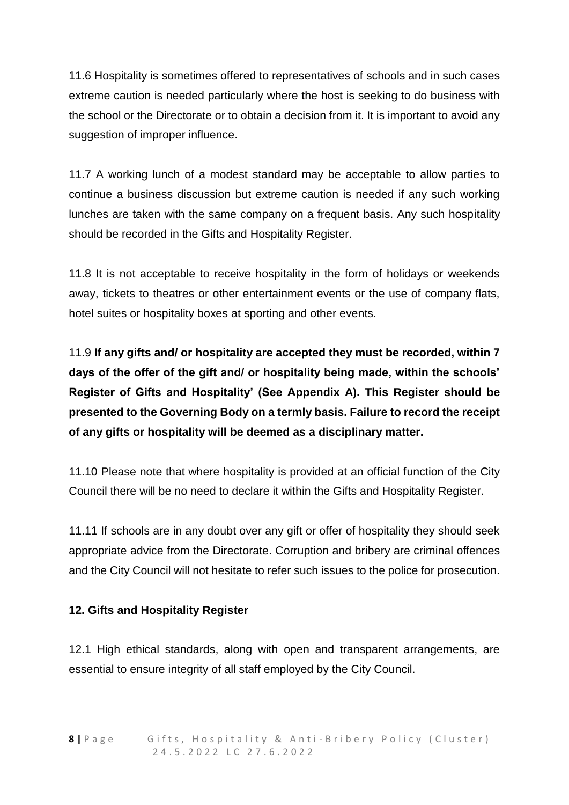11.6 Hospitality is sometimes offered to representatives of schools and in such cases extreme caution is needed particularly where the host is seeking to do business with the school or the Directorate or to obtain a decision from it. It is important to avoid any suggestion of improper influence.

11.7 A working lunch of a modest standard may be acceptable to allow parties to continue a business discussion but extreme caution is needed if any such working lunches are taken with the same company on a frequent basis. Any such hospitality should be recorded in the Gifts and Hospitality Register.

11.8 It is not acceptable to receive hospitality in the form of holidays or weekends away, tickets to theatres or other entertainment events or the use of company flats, hotel suites or hospitality boxes at sporting and other events.

11.9 **If any gifts and/ or hospitality are accepted they must be recorded, within 7 days of the offer of the gift and/ or hospitality being made, within the schools' Register of Gifts and Hospitality' (See Appendix A). This Register should be presented to the Governing Body on a termly basis. Failure to record the receipt of any gifts or hospitality will be deemed as a disciplinary matter.**

11.10 Please note that where hospitality is provided at an official function of the City Council there will be no need to declare it within the Gifts and Hospitality Register.

11.11 If schools are in any doubt over any gift or offer of hospitality they should seek appropriate advice from the Directorate. Corruption and bribery are criminal offences and the City Council will not hesitate to refer such issues to the police for prosecution.

#### **12. Gifts and Hospitality Register**

12.1 High ethical standards, along with open and transparent arrangements, are essential to ensure integrity of all staff employed by the City Council.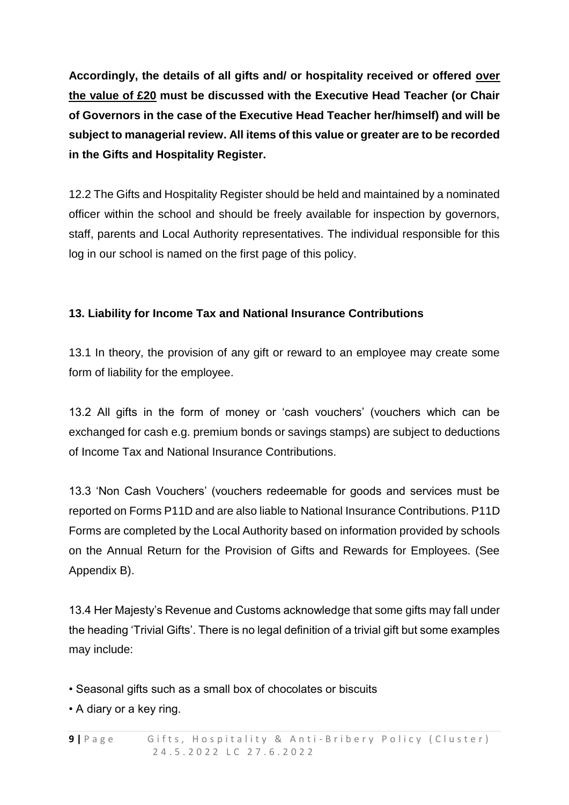**Accordingly, the details of all gifts and/ or hospitality received or offered over the value of £20 must be discussed with the Executive Head Teacher (or Chair of Governors in the case of the Executive Head Teacher her/himself) and will be subject to managerial review. All items of this value or greater are to be recorded in the Gifts and Hospitality Register.**

12.2 The Gifts and Hospitality Register should be held and maintained by a nominated officer within the school and should be freely available for inspection by governors, staff, parents and Local Authority representatives. The individual responsible for this log in our school is named on the first page of this policy.

#### **13. Liability for Income Tax and National Insurance Contributions**

13.1 In theory, the provision of any gift or reward to an employee may create some form of liability for the employee.

13.2 All gifts in the form of money or 'cash vouchers' (vouchers which can be exchanged for cash e.g. premium bonds or savings stamps) are subject to deductions of Income Tax and National Insurance Contributions.

13.3 'Non Cash Vouchers' (vouchers redeemable for goods and services must be reported on Forms P11D and are also liable to National Insurance Contributions. P11D Forms are completed by the Local Authority based on information provided by schools on the Annual Return for the Provision of Gifts and Rewards for Employees. (See Appendix B).

13.4 Her Majesty's Revenue and Customs acknowledge that some gifts may fall under the heading 'Trivial Gifts'. There is no legal definition of a trivial gift but some examples may include:

• Seasonal gifts such as a small box of chocolates or biscuits

• A diary or a key ring.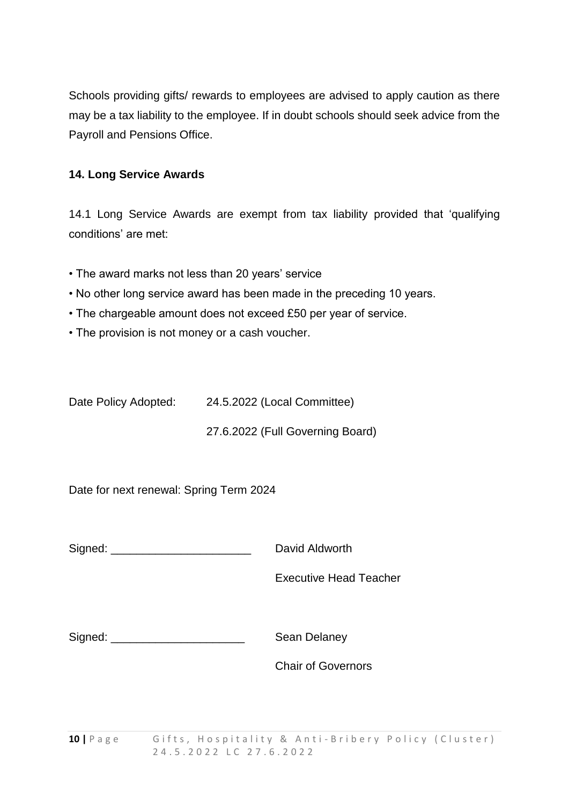Schools providing gifts/ rewards to employees are advised to apply caution as there may be a tax liability to the employee. If in doubt schools should seek advice from the Payroll and Pensions Office.

#### **14. Long Service Awards**

14.1 Long Service Awards are exempt from tax liability provided that 'qualifying conditions' are met:

- The award marks not less than 20 years' service
- No other long service award has been made in the preceding 10 years.
- The chargeable amount does not exceed £50 per year of service.
- The provision is not money or a cash voucher.

Date Policy Adopted: 24.5.2022 (Local Committee)

27.6.2022 (Full Governing Board)

Date for next renewal: Spring Term 2024

Signed: **Example 2** David Aldworth

Executive Head Teacher

| Signed: |  |
|---------|--|
|         |  |

Sean Delaney

Chair of Governors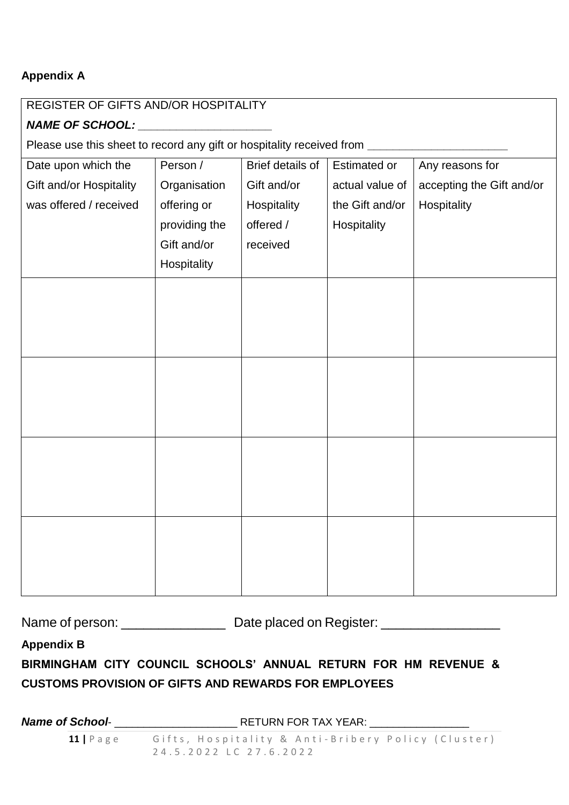#### **Appendix A**

# REGISTER OF GIFTS AND/OR HOSPITALITY *NAME OF SCHOOL: \_\_\_\_\_\_\_\_\_\_\_\_\_\_\_\_\_\_\_\_\_* Please use this sheet to record any gift or hospitality received from **property** Date upon which the Gift and/or Hospitality was offered / received Person / **Organisation** offering or providing the Gift and/or **Hospitality** Brief details of Gift and/or Hospitality offered / received Estimated or actual value of the Gift and/or Hospitality Any reasons for accepting the Gift and/or **Hospitality**

Name of person: \_\_\_\_\_\_\_\_\_\_\_\_\_\_\_\_\_\_\_ Date placed on Register: \_\_\_\_\_\_\_\_\_\_\_\_\_\_\_\_\_\_\_

**Appendix B**

### **BIRMINGHAM CITY COUNCIL SCHOOLS' ANNUAL RETURN FOR HM REVENUE & CUSTOMS PROVISION OF GIFTS AND REWARDS FOR EMPLOYEES**

**11** | Page Gifts, Hospitality & Anti-Bribery Policy (Cluster) 2 4 . 5 . 2 0 2 2 L C 2 7 . 6 . 2 0 2 2 *Name of School*- \_\_\_\_\_\_\_\_\_\_\_\_\_\_\_\_\_\_\_\_\_ RETURN FOR TAX YEAR: \_\_\_\_\_\_\_\_\_\_\_\_\_\_\_\_\_